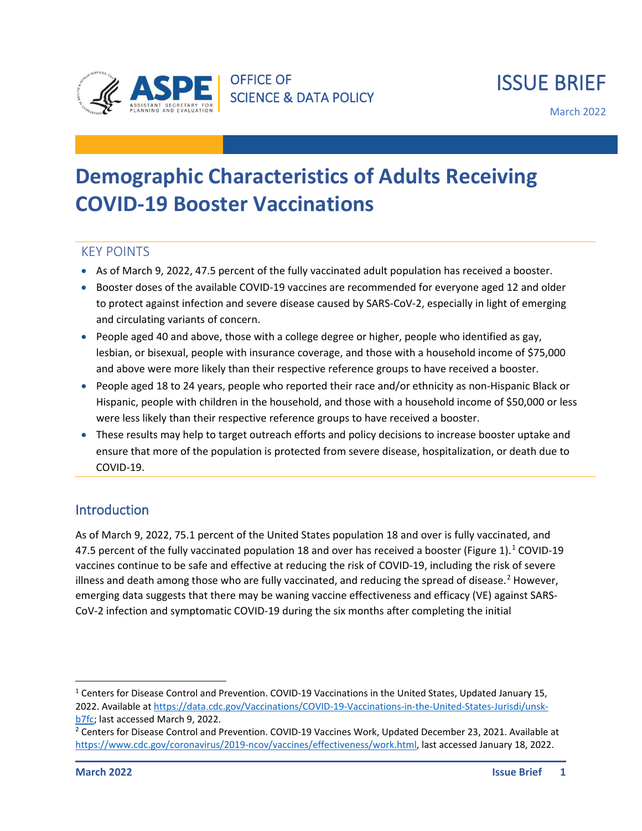

March 2022

# **Demographic Characteristics of Adults Receiving COVID-19 Booster Vaccinations**

#### KEY POINTS

- As of March 9, 2022, 47.5 percent of the fully vaccinated adult population has received a booster.
- Booster doses of the available COVID-19 vaccines are recommended for everyone aged 12 and older to protect against infection and severe disease caused by SARS-CoV-2, especially in light of emerging and circulating variants of concern.
- People aged 40 and above, those with a college degree or higher, people who identified as gay, lesbian, or bisexual, people with insurance coverage, and those with a household income of \$75,000 and above were more likely than their respective reference groups to have received a booster.
- People aged 18 to 24 years, people who reported their race and/or ethnicity as non-Hispanic Black or Hispanic, people with children in the household, and those with a household income of \$50,000 or less were less likely than their respective reference groups to have received a booster.
- These results may help to target outreach efforts and policy decisions to increase booster uptake and ensure that more of the population is protected from severe disease, hospitalization, or death due to COVID-19.

## **Introduction**

As of March 9, 2022, 75.1 percent of the United States population 18 and over is fully vaccinated, and 47.5 percent of the fully vaccinated population [1](#page-0-0)8 and over has received a booster (Figure 1).<sup>1</sup> COVID-19 vaccines continue to be safe and effective at reducing the risk of COVID-19, including the risk of severe illness and death among those who are fully vaccinated, and reducing the spread of disease.<sup>[2](#page-0-1)</sup> However, emerging data suggests that there may be waning vaccine effectiveness and efficacy (VE) against SARS-CoV-2 infection and symptomatic COVID-19 during the six months after completing the initial

<span id="page-0-0"></span><sup>1</sup> Centers for Disease Control and Prevention. COVID-19 Vaccinations in the United States, Updated January 15, 2022. Available a[t https://data.cdc.gov/Vaccinations/COVID-19-Vaccinations-in-the-United-States-Jurisdi/unsk-](https://data.cdc.gov/Vaccinations/COVID-19-Vaccinations-in-the-United-States-Jurisdi/unsk-b7fc) $\frac{b7fc}{c}$  last accessed March 9, 2022.<br><sup>2</sup> Centers for Disease Control and Prevention. COVID-19 Vaccines Work, Updated December 23, 2021. Available at

<span id="page-0-1"></span>[https://www.cdc.gov/coronavirus/2019-ncov/vaccines/effectiveness/work.html,](https://www.cdc.gov/coronavirus/2019-ncov/vaccines/effectiveness/work.html) last accessed January 18, 2022.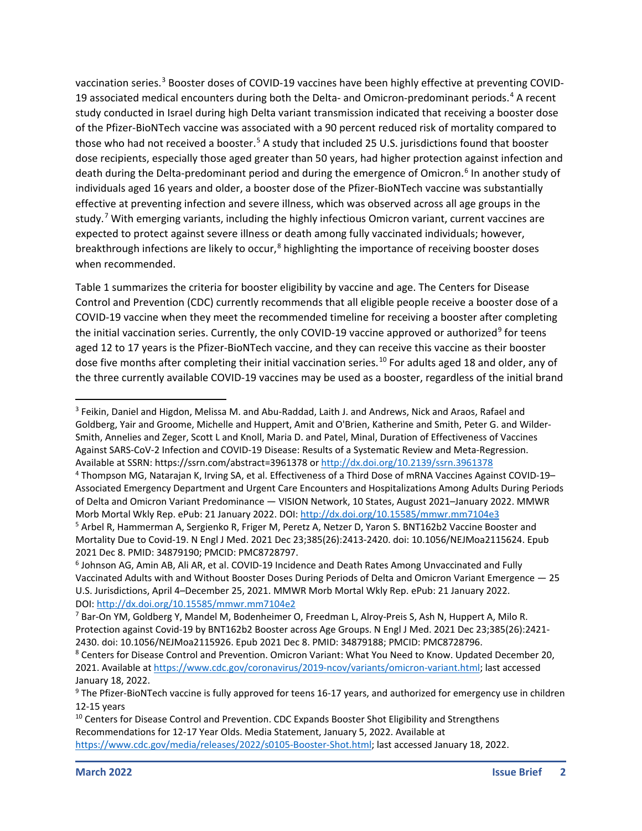vaccination series.<sup>[3](#page-1-0)</sup> Booster doses of COVID-19 vaccines have been highly effective at preventing COVID-19 associated medical encounters during both the Delta- and Omicron-predominant periods.<sup>[4](#page-1-1)</sup> A recent study conducted in Israel during high Delta variant transmission indicated that receiving a booster dose of the Pfizer-BioNTech vaccine was associated with a 90 percent reduced risk of mortality compared to those who had not received a booster.<sup>[5](#page-1-2)</sup> A study that included 25 U.S. jurisdictions found that booster dose recipients, especially those aged greater than 50 years, had higher protection against infection and death during the Delta-predominant period and during the emergence of Omicron.<sup>[6](#page-1-3)</sup> In another study of individuals aged 16 years and older, a booster dose of the Pfizer-BioNTech vaccine was substantially effective at preventing infection and severe illness, which was observed across all age groups in the study.<sup>[7](#page-1-4)</sup> With emerging variants, including the highly infectious Omicron variant, current vaccines are expected to protect against severe illness or death among fully vaccinated individuals; however, breakthrough infections are likely to occur, $8$  highlighting the importance of receiving booster doses when recommended.

Table 1 summarizes the criteria for booster eligibility by vaccine and age. The Centers for Disease Control and Prevention (CDC) currently recommends that all eligible people receive a booster dose of a COVID-19 vaccine when they meet the recommended timeline for receiving a booster after completing the initial vaccination series. Currently, the only COVID-1[9](#page-1-6) vaccine approved or authorized<sup>9</sup> for teens aged 12 to 17 years is the Pfizer-BioNTech vaccine, and they can receive this vaccine as their booster dose five months after completing their initial vaccination series.<sup>[10](#page-1-7)</sup> For adults aged 18 and older, any of the three currently available COVID-19 vaccines may be used as a booster, regardless of the initial brand

<span id="page-1-0"></span><sup>3</sup> Feikin, Daniel and Higdon, Melissa M. and Abu-Raddad, Laith J. and Andrews, Nick and Araos, Rafael and Goldberg, Yair and Groome, Michelle and Huppert, Amit and O'Brien, Katherine and Smith, Peter G. and Wilder-Smith, Annelies and Zeger, Scott L and Knoll, Maria D. and Patel, Minal, Duration of Effectiveness of Vaccines Against SARS-CoV-2 Infection and COVID-19 Disease: Results of a Systematic Review and Meta-Regression. Available at SSRN: https://ssrn.com/abstract=3961378 o[r http://dx.doi.org/10.2139/ssrn.3961378](http://dx.doi.org/10.2139/ssrn.3961378)

<span id="page-1-1"></span><sup>4</sup> Thompson MG, Natarajan K, Irving SA, et al. Effectiveness of a Third Dose of mRNA Vaccines Against COVID-19– Associated Emergency Department and Urgent Care Encounters and Hospitalizations Among Adults During Periods of Delta and Omicron Variant Predominance — VISION Network, 10 States, August 2021–January 2022. MMWR Morb Mortal Wkly Rep. ePub: 21 January 2022. DOI: <http://dx.doi.org/10.15585/mmwr.mm7104e3> <sup>5</sup> Arbel R, Hammerman A, Sergienko R, Friger M, Peretz A, Netzer D, Yaron S. BNT162b2 Vaccine Booster and

<span id="page-1-2"></span>Mortality Due to Covid-19. N Engl J Med. 2021 Dec 23;385(26):2413-2420. doi: 10.1056/NEJMoa2115624. Epub 2021 Dec 8. PMID: 34879190; PMCID: PMC8728797.

<span id="page-1-3"></span><sup>6</sup> Johnson AG, Amin AB, Ali AR, et al. COVID-19 Incidence and Death Rates Among Unvaccinated and Fully Vaccinated Adults with and Without Booster Doses During Periods of Delta and Omicron Variant Emergence — 25 U.S. Jurisdictions, April 4–December 25, 2021. MMWR Morb Mortal Wkly Rep. ePub: 21 January 2022. DOI: <http://dx.doi.org/10.15585/mmwr.mm7104e2>

<span id="page-1-4"></span><sup>7</sup> Bar-On YM, Goldberg Y, Mandel M, Bodenheimer O, Freedman L, Alroy-Preis S, Ash N, Huppert A, Milo R. Protection against Covid-19 by BNT162b2 Booster across Age Groups. N Engl J Med. 2021 Dec 23;385(26):2421- 2430. doi: 10.1056/NEJMoa2115926. Epub 2021 Dec 8. PMID: 34879188; PMCID: PMC8728796.

<span id="page-1-5"></span><sup>&</sup>lt;sup>8</sup> Centers for Disease Control and Prevention. Omicron Variant: What You Need to Know. Updated December 20, 2021. Available a[t https://www.cdc.gov/coronavirus/2019-ncov/variants/omicron-variant.html;](https://www.cdc.gov/coronavirus/2019-ncov/variants/omicron-variant.html) last accessed January 18, 2022.

<span id="page-1-6"></span><sup>&</sup>lt;sup>9</sup> The Pfizer-BioNTech vaccine is fully approved for teens 16-17 years, and authorized for emergency use in children 12-15 years

<span id="page-1-7"></span><sup>&</sup>lt;sup>10</sup> Centers for Disease Control and Prevention. CDC Expands Booster Shot Eligibility and Strengthens Recommendations for 12-17 Year Olds. Media Statement, January 5, 2022. Available at [https://www.cdc.gov/media/releases/2022/s0105-Booster-Shot.html;](https://www.cdc.gov/media/releases/2022/s0105-Booster-Shot.html) last accessed January 18, 2022.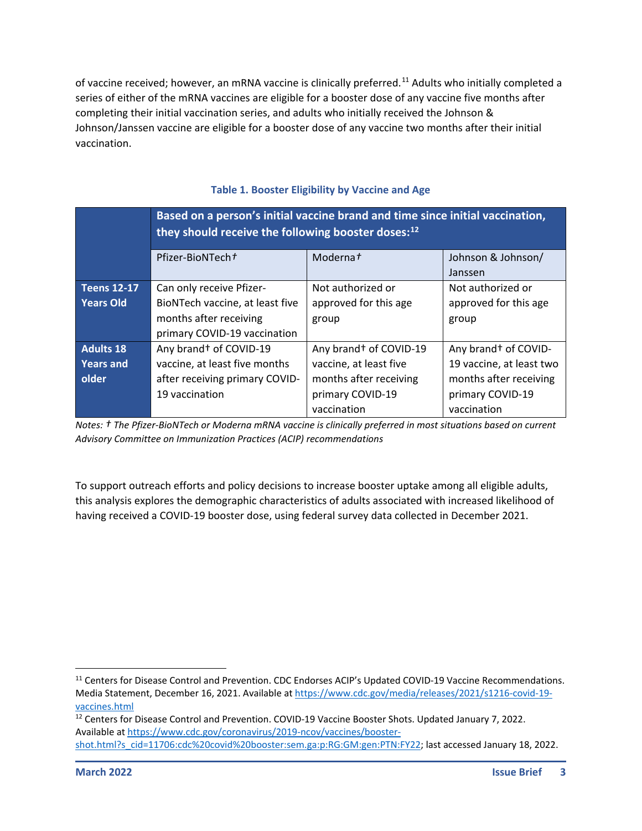of vaccine received; however, an mRNA vaccine is clinically preferred.<sup>[11](#page-2-0)</sup> Adults who initially completed a series of either of the mRNA vaccines are eligible for a booster dose of any vaccine five months after completing their initial vaccination series, and adults who initially received the Johnson & Johnson/Janssen vaccine are eligible for a booster dose of any vaccine two months after their initial vaccination.

|                    | Based on a person's initial vaccine brand and time since initial vaccination,<br>they should receive the following booster doses: $^{12}$ |                                    |                                  |
|--------------------|-------------------------------------------------------------------------------------------------------------------------------------------|------------------------------------|----------------------------------|
|                    | Pfizer-BioNTecht                                                                                                                          | Moderna <sup>+</sup>               | Johnson & Johnson/               |
|                    |                                                                                                                                           |                                    | Janssen                          |
| <b>Teens 12-17</b> | Can only receive Pfizer-                                                                                                                  | Not authorized or                  | Not authorized or                |
| <b>Years Old</b>   | BioNTech vaccine, at least five                                                                                                           | approved for this age              | approved for this age            |
|                    | months after receiving                                                                                                                    | group                              | group                            |
|                    | primary COVID-19 vaccination                                                                                                              |                                    |                                  |
| <b>Adults 18</b>   | Any brand <sup>+</sup> of COVID-19                                                                                                        | Any brand <sup>+</sup> of COVID-19 | Any brand <sup>+</sup> of COVID- |
| <b>Years and</b>   | vaccine, at least five months                                                                                                             | vaccine, at least five             | 19 vaccine, at least two         |
| older              | after receiving primary COVID-                                                                                                            | months after receiving             | months after receiving           |
|                    | 19 vaccination                                                                                                                            | primary COVID-19                   | primary COVID-19                 |
|                    |                                                                                                                                           | vaccination                        | vaccination                      |

#### **Table 1. Booster Eligibility by Vaccine and Age**

*Notes: † The Pfizer-BioNTech or Moderna mRNA vaccine is clinically preferred in most situations based on current Advisory Committee on Immunization Practices (ACIP) recommendations*

To support outreach efforts and policy decisions to increase booster uptake among all eligible adults, this analysis explores the demographic characteristics of adults associated with increased likelihood of having received a COVID-19 booster dose, using federal survey data collected in December 2021.

<span id="page-2-0"></span><sup>&</sup>lt;sup>11</sup> Centers for Disease Control and Prevention. CDC Endorses ACIP's Updated COVID-19 Vaccine Recommendations. Media Statement, December 16, 2021. Available a[t https://www.cdc.gov/media/releases/2021/s1216-covid-19](https://www.cdc.gov/media/releases/2021/s1216-covid-19-vaccines.html) [vaccines.html](https://www.cdc.gov/media/releases/2021/s1216-covid-19-vaccines.html)

<span id="page-2-1"></span><sup>&</sup>lt;sup>12</sup> Centers for Disease Control and Prevention. COVID-19 Vaccine Booster Shots. Updated January 7, 2022. Available a[t https://www.cdc.gov/coronavirus/2019-ncov/vaccines/booster](https://www.cdc.gov/coronavirus/2019-ncov/vaccines/booster-shot.html?s_cid=11706:cdc%20covid%20booster:sem.ga:p:RG:GM:gen:PTN:FY22)[shot.html?s\\_cid=11706:cdc%20covid%20booster:sem.ga:p:RG:GM:gen:PTN:FY22;](https://www.cdc.gov/coronavirus/2019-ncov/vaccines/booster-shot.html?s_cid=11706:cdc%20covid%20booster:sem.ga:p:RG:GM:gen:PTN:FY22) last accessed January 18, 2022.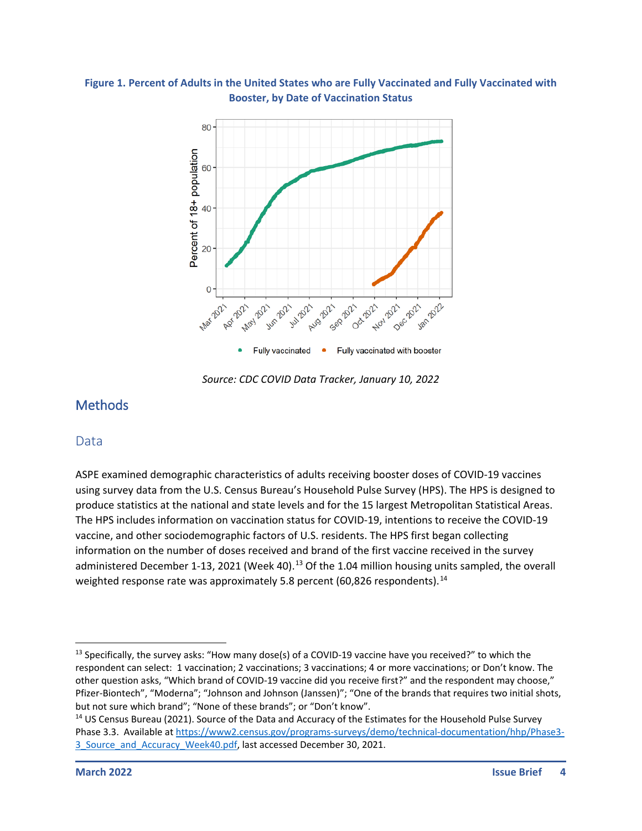



*Source: CDC COVID Data Tracker, January 10, 2022*

## **Methods**

#### **Data**

ASPE examined demographic characteristics of adults receiving booster doses of COVID-19 vaccines using survey data from the U.S. Census Bureau's Household Pulse Survey (HPS). The HPS is designed to produce statistics at the national and state levels and for the 15 largest Metropolitan Statistical Areas. The HPS includes information on vaccination status for COVID-19, intentions to receive the COVID-19 vaccine, and other sociodemographic factors of U.S. residents. The HPS first began collecting information on the number of doses received and brand of the first vaccine received in the survey administered December 1-[13](#page-3-0), 2021 (Week 40).<sup>13</sup> Of the 1.04 million housing units sampled, the overall weighted response rate was approximately 5.8 percent (60,826 respondents).<sup>[14](#page-3-1)</sup>

<span id="page-3-0"></span> $13$  Specifically, the survey asks: "How many dose(s) of a COVID-19 vaccine have you received?" to which the respondent can select: 1 vaccination; 2 vaccinations; 3 vaccinations; 4 or more vaccinations; or Don't know. The other question asks, "Which brand of COVID-19 vaccine did you receive first?" and the respondent may choose," Pfizer-Biontech", "Moderna"; "Johnson and Johnson (Janssen)"; "One of the brands that requires two initial shots, but not sure which brand"; "None of these brands"; or "Don't know".

<span id="page-3-1"></span><sup>&</sup>lt;sup>14</sup> US Census Bureau (2021). Source of the Data and Accuracy of the Estimates for the Household Pulse Survey Phase 3.3. Available a[t https://www2.census.gov/programs-surveys/demo/technical-documentation/hhp/Phase3-](https://www2.census.gov/programs-surveys/demo/technical-documentation/hhp/Phase3-3_Source_and_Accuracy_Week40.pdf) 3 Source and Accuracy Week40.pdf, last accessed December 30, 2021.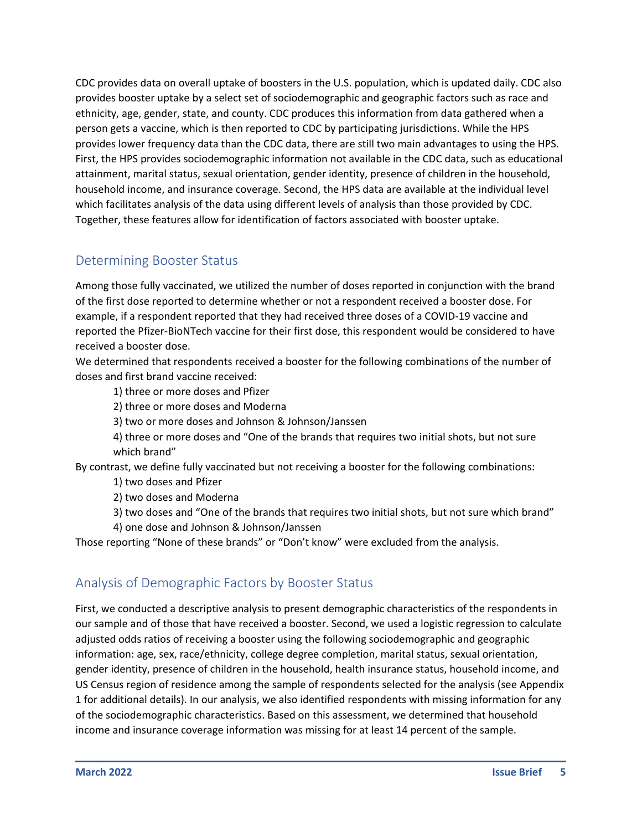CDC provides data on overall uptake of boosters in the U.S. population, which is updated daily. CDC also provides booster uptake by a select set of sociodemographic and geographic factors such as race and ethnicity, age, gender, state, and county. CDC produces this information from data gathered when a person gets a vaccine, which is then reported to CDC by participating jurisdictions. While the HPS provides lower frequency data than the CDC data, there are still two main advantages to using the HPS. First, the HPS provides sociodemographic information not available in the CDC data, such as educational attainment, marital status, sexual orientation, gender identity, presence of children in the household, household income, and insurance coverage. Second, the HPS data are available at the individual level which facilitates analysis of the data using different levels of analysis than those provided by CDC. Together, these features allow for identification of factors associated with booster uptake.

## Determining Booster Status

Among those fully vaccinated, we utilized the number of doses reported in conjunction with the brand of the first dose reported to determine whether or not a respondent received a booster dose. For example, if a respondent reported that they had received three doses of a COVID-19 vaccine and reported the Pfizer-BioNTech vaccine for their first dose, this respondent would be considered to have received a booster dose.

We determined that respondents received a booster for the following combinations of the number of doses and first brand vaccine received:

- 1) three or more doses and Pfizer
- 2) three or more doses and Moderna
- 3) two or more doses and Johnson & Johnson/Janssen
- 4) three or more doses and "One of the brands that requires two initial shots, but not sure which brand"

By contrast, we define fully vaccinated but not receiving a booster for the following combinations:

- 1) two doses and Pfizer
- 2) two doses and Moderna
- 3) two doses and "One of the brands that requires two initial shots, but not sure which brand"
- 4) one dose and Johnson & Johnson/Janssen

Those reporting "None of these brands" or "Don't know" were excluded from the analysis.

#### Analysis of Demographic Factors by Booster Status

First, we conducted a descriptive analysis to present demographic characteristics of the respondents in our sample and of those that have received a booster. Second, we used a logistic regression to calculate adjusted odds ratios of receiving a booster using the following sociodemographic and geographic information: age, sex, race/ethnicity, college degree completion, marital status, sexual orientation, gender identity, presence of children in the household, health insurance status, household income, and US Census region of residence among the sample of respondents selected for the analysis (see Appendix 1 for additional details). In our analysis, we also identified respondents with missing information for any of the sociodemographic characteristics. Based on this assessment, we determined that household income and insurance coverage information was missing for at least 14 percent of the sample.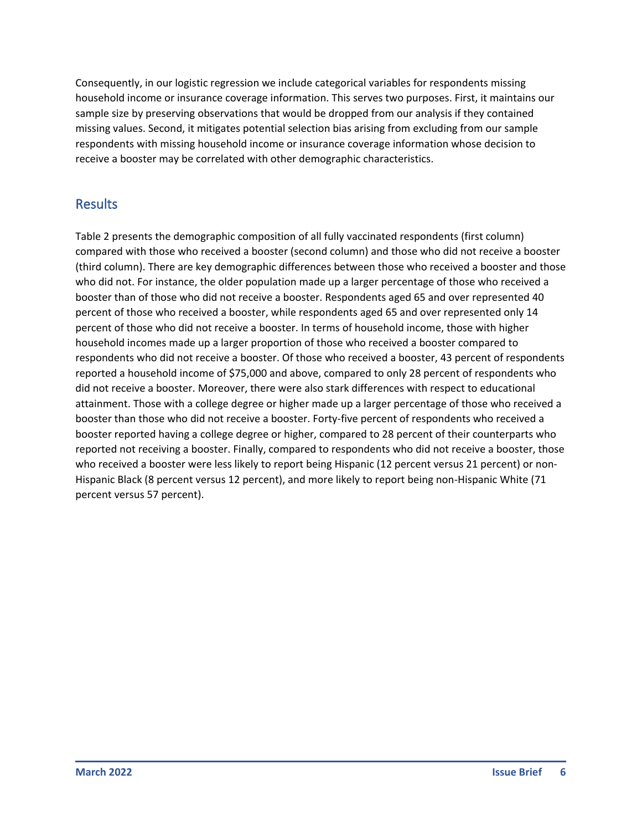Consequently, in our logistic regression we include categorical variables for respondents missing household income or insurance coverage information. This serves two purposes. First, it maintains our sample size by preserving observations that would be dropped from our analysis if they contained missing values. Second, it mitigates potential selection bias arising from excluding from our sample respondents with missing household income or insurance coverage information whose decision to receive a booster may be correlated with other demographic characteristics.

## Results

Table 2 presents the demographic composition of all fully vaccinated respondents (first column) compared with those who received a booster (second column) and those who did not receive a booster (third column). There are key demographic differences between those who received a booster and those who did not. For instance, the older population made up a larger percentage of those who received a booster than of those who did not receive a booster. Respondents aged 65 and over represented 40 percent of those who received a booster, while respondents aged 65 and over represented only 14 percent of those who did not receive a booster. In terms of household income, those with higher household incomes made up a larger proportion of those who received a booster compared to respondents who did not receive a booster. Of those who received a booster, 43 percent of respondents reported a household income of \$75,000 and above, compared to only 28 percent of respondents who did not receive a booster. Moreover, there were also stark differences with respect to educational attainment. Those with a college degree or higher made up a larger percentage of those who received a booster than those who did not receive a booster. Forty-five percent of respondents who received a booster reported having a college degree or higher, compared to 28 percent of their counterparts who reported not receiving a booster. Finally, compared to respondents who did not receive a booster, those who received a booster were less likely to report being Hispanic (12 percent versus 21 percent) or non-Hispanic Black (8 percent versus 12 percent), and more likely to report being non-Hispanic White (71 percent versus 57 percent).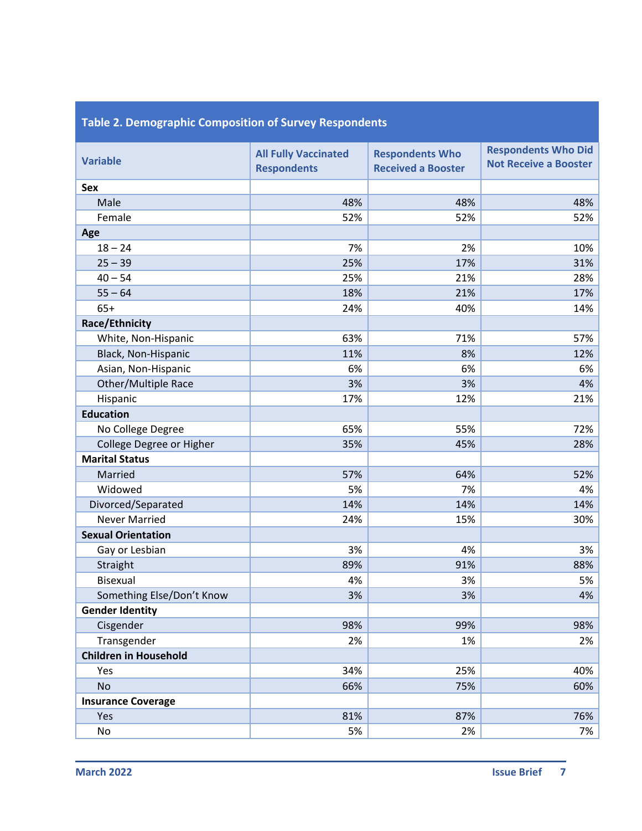| <b>Variable</b>              | <b>All Fully Vaccinated</b><br><b>Respondents</b> | <b>Respondents Who</b><br><b>Received a Booster</b> | <b>Respondents Who Did</b><br><b>Not Receive a Booster</b> |
|------------------------------|---------------------------------------------------|-----------------------------------------------------|------------------------------------------------------------|
| Sex                          |                                                   |                                                     |                                                            |
| Male                         | 48%                                               | 48%                                                 | 48%                                                        |
| Female                       | 52%                                               | 52%                                                 | 52%                                                        |
| Age                          |                                                   |                                                     |                                                            |
| $18 - 24$                    | 7%                                                | 2%                                                  | 10%                                                        |
| $25 - 39$                    | 25%                                               | 17%                                                 | 31%                                                        |
| $40 - 54$                    | 25%                                               | 21%                                                 | 28%                                                        |
| $55 - 64$                    | 18%                                               | 21%                                                 | 17%                                                        |
| $65+$                        | 24%                                               | 40%                                                 | 14%                                                        |
| <b>Race/Ethnicity</b>        |                                                   |                                                     |                                                            |
| White, Non-Hispanic          | 63%                                               | 71%                                                 | 57%                                                        |
| Black, Non-Hispanic          | 11%                                               | 8%                                                  | 12%                                                        |
| Asian, Non-Hispanic          | 6%                                                | 6%                                                  | 6%                                                         |
| Other/Multiple Race          | 3%                                                | 3%                                                  | 4%                                                         |
| Hispanic                     | 17%                                               | 12%                                                 | 21%                                                        |
| <b>Education</b>             |                                                   |                                                     |                                                            |
| No College Degree            | 65%                                               | 55%                                                 | 72%                                                        |
| College Degree or Higher     | 35%                                               | 45%                                                 | 28%                                                        |
| <b>Marital Status</b>        |                                                   |                                                     |                                                            |
| Married                      | 57%                                               | 64%                                                 | 52%                                                        |
| Widowed                      | 5%                                                | 7%                                                  | 4%                                                         |
| Divorced/Separated           | 14%                                               | 14%                                                 | 14%                                                        |
| <b>Never Married</b>         | 24%                                               | 15%                                                 | 30%                                                        |
| <b>Sexual Orientation</b>    |                                                   |                                                     |                                                            |
| Gay or Lesbian               | 3%                                                | 4%                                                  | 3%                                                         |
| Straight                     | 89%                                               | 91%                                                 | 88%                                                        |
| <b>Bisexual</b>              | 4%                                                | 3%                                                  | 5%                                                         |
| Something Else/Don't Know    | 3%                                                | 3%                                                  | 4%                                                         |
| <b>Gender Identity</b>       |                                                   |                                                     |                                                            |
| Cisgender                    | 98%                                               | 99%                                                 | 98%                                                        |
| Transgender                  | 2%                                                | 1%                                                  | 2%                                                         |
| <b>Children in Household</b> |                                                   |                                                     |                                                            |
| Yes                          | 34%                                               | 25%                                                 | 40%                                                        |
| <b>No</b>                    | 66%                                               | 75%                                                 | 60%                                                        |
| <b>Insurance Coverage</b>    |                                                   |                                                     |                                                            |
| Yes                          | 81%                                               | 87%                                                 | 76%                                                        |
| No                           | 5%                                                | 2%                                                  | 7%                                                         |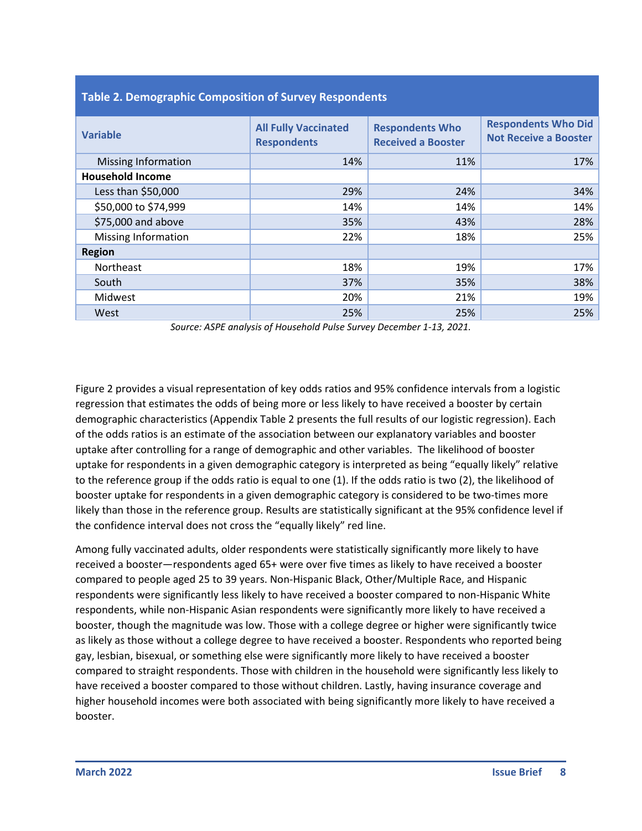| Table 2. Demographic composition of Survey Respondents |                                                   |                                                     |                                                            |
|--------------------------------------------------------|---------------------------------------------------|-----------------------------------------------------|------------------------------------------------------------|
| <b>Variable</b>                                        | <b>All Fully Vaccinated</b><br><b>Respondents</b> | <b>Respondents Who</b><br><b>Received a Booster</b> | <b>Respondents Who Did</b><br><b>Not Receive a Booster</b> |
| <b>Missing Information</b>                             | 14%                                               | 11%                                                 | 17%                                                        |
| <b>Household Income</b>                                |                                                   |                                                     |                                                            |
| Less than \$50,000                                     | 29%                                               | 24%                                                 | 34%                                                        |
| \$50,000 to \$74,999                                   | 14%                                               | 14%                                                 | 14%                                                        |
| \$75,000 and above                                     | 35%                                               | 43%                                                 | 28%                                                        |
| Missing Information                                    | 22%                                               | 18%                                                 | 25%                                                        |
| <b>Region</b>                                          |                                                   |                                                     |                                                            |
| Northeast                                              | 18%                                               | 19%                                                 | 17%                                                        |
| South                                                  | 37%                                               | 35%                                                 | 38%                                                        |
| Midwest                                                | 20%                                               | 21%                                                 | 19%                                                        |
| West                                                   | 25%                                               | 25%                                                 | 25%                                                        |

#### **Table 2. Demographic Composition of Survey Respondents**

*Source: ASPE analysis of Household Pulse Survey December 1-13, 2021.*

Figure 2 provides a visual representation of key odds ratios and 95% confidence intervals from a logistic regression that estimates the odds of being more or less likely to have received a booster by certain demographic characteristics (Appendix Table 2 presents the full results of our logistic regression). Each of the odds ratios is an estimate of the association between our explanatory variables and booster uptake after controlling for a range of demographic and other variables. The likelihood of booster uptake for respondents in a given demographic category is interpreted as being "equally likely" relative to the reference group if the odds ratio is equal to one (1). If the odds ratio is two (2), the likelihood of booster uptake for respondents in a given demographic category is considered to be two-times more likely than those in the reference group. Results are statistically significant at the 95% confidence level if the confidence interval does not cross the "equally likely" red line.

Among fully vaccinated adults, older respondents were statistically significantly more likely to have received a booster—respondents aged 65+ were over five times as likely to have received a booster compared to people aged 25 to 39 years. Non-Hispanic Black, Other/Multiple Race, and Hispanic respondents were significantly less likely to have received a booster compared to non-Hispanic White respondents, while non-Hispanic Asian respondents were significantly more likely to have received a booster, though the magnitude was low. Those with a college degree or higher were significantly twice as likely as those without a college degree to have received a booster. Respondents who reported being gay, lesbian, bisexual, or something else were significantly more likely to have received a booster compared to straight respondents. Those with children in the household were significantly less likely to have received a booster compared to those without children. Lastly, having insurance coverage and higher household incomes were both associated with being significantly more likely to have received a booster.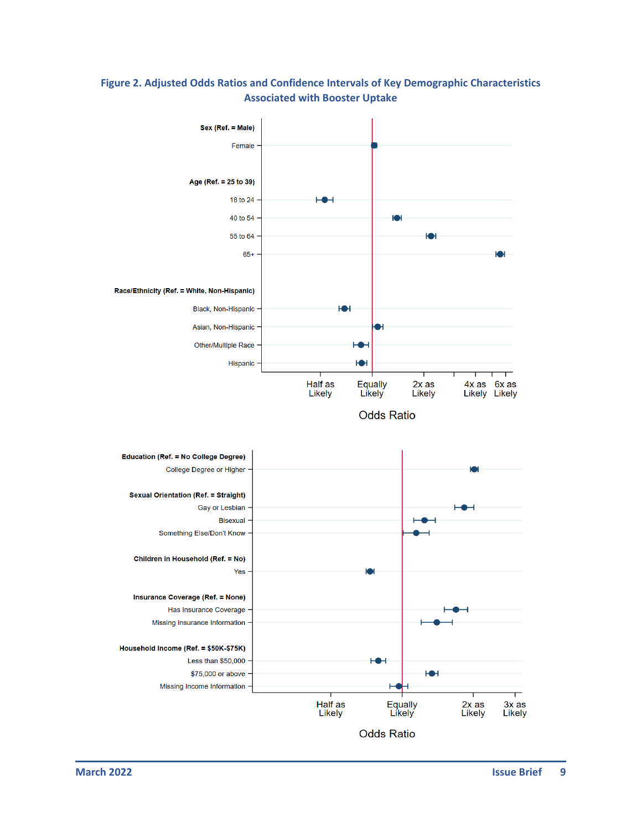



**Odds Ratio** 

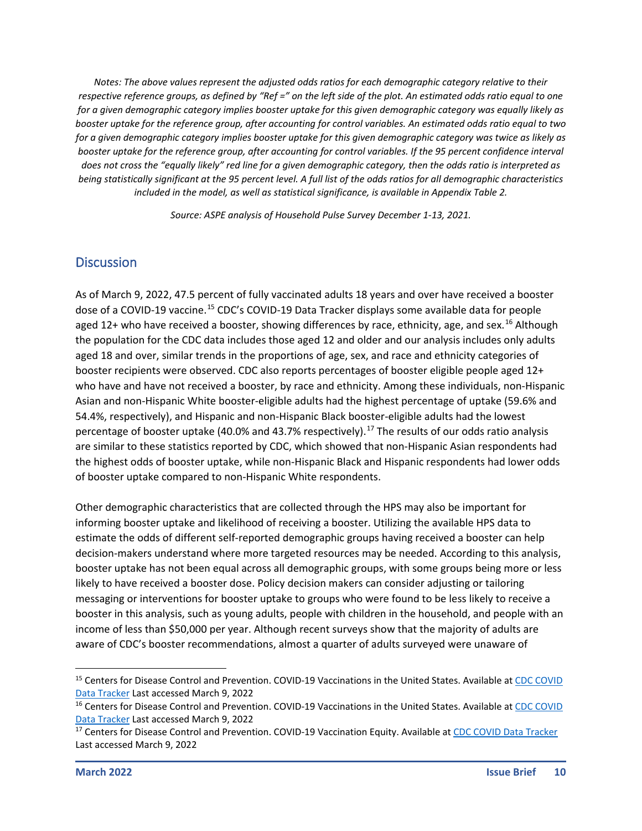*Notes: The above values represent the adjusted odds ratios for each demographic category relative to their respective reference groups, as defined by "Ref =" on the left side of the plot. An estimated odds ratio equal to one for a given demographic category implies booster uptake for this given demographic category was equally likely as booster uptake for the reference group, after accounting for control variables. An estimated odds ratio equal to two for a given demographic category implies booster uptake for this given demographic category was twice as likely as booster uptake for the reference group, after accounting for control variables. If the 95 percent confidence interval does not cross the "equally likely" red line for a given demographic category, then the odds ratio is interpreted as being statistically significant at the 95 percent level. A full list of the odds ratios for all demographic characteristics included in the model, as well as statistical significance, is available in Appendix Table 2.*

*Source: ASPE analysis of Household Pulse Survey December 1-13, 2021.*

#### **Discussion**

As of March 9, 2022, 47.5 percent of fully vaccinated adults 18 years and over have received a booster dose of a COVID-19 vaccine.<sup>[15](#page-9-0)</sup> CDC's COVID-19 Data Tracker displays some available data for people aged 12+ who have received a booster, showing differences by race, ethnicity, age, and sex.<sup>[16](#page-9-1)</sup> Although the population for the CDC data includes those aged 12 and older and our analysis includes only adults aged 18 and over, similar trends in the proportions of age, sex, and race and ethnicity categories of booster recipients were observed. CDC also reports percentages of booster eligible people aged 12+ who have and have not received a booster, by race and ethnicity. Among these individuals, non-Hispanic Asian and non-Hispanic White booster-eligible adults had the highest percentage of uptake (59.6% and 54.4%, respectively), and Hispanic and non-Hispanic Black booster-eligible adults had the lowest percentage of booster uptake (40.0% and 43.7% respectively).<sup>[17](#page-9-2)</sup> The results of our odds ratio analysis are similar to these statistics reported by CDC, which showed that non-Hispanic Asian respondents had the highest odds of booster uptake, while non-Hispanic Black and Hispanic respondents had lower odds of booster uptake compared to non-Hispanic White respondents.

Other demographic characteristics that are collected through the HPS may also be important for informing booster uptake and likelihood of receiving a booster. Utilizing the available HPS data to estimate the odds of different self-reported demographic groups having received a booster can help decision-makers understand where more targeted resources may be needed. According to this analysis, booster uptake has not been equal across all demographic groups, with some groups being more or less likely to have received a booster dose. Policy decision makers can consider adjusting or tailoring messaging or interventions for booster uptake to groups who were found to be less likely to receive a booster in this analysis, such as young adults, people with children in the household, and people with an income of less than \$50,000 per year. Although recent surveys show that the majority of adults are aware of CDC's booster recommendations, almost a quarter of adults surveyed were unaware of

<span id="page-9-0"></span><sup>&</sup>lt;sup>15</sup> Centers for Disease Control and Prevention. COVID-19 Vaccinations in the United States. Available at CDC COVID [Data Tracker](https://covid.cdc.gov/covid-data-tracker/#vaccinations_vacc-total-admin-rate-total) Last accessed March 9, 2022

<span id="page-9-1"></span><sup>&</sup>lt;sup>16</sup> Centers for Disease Control and Prevention. COVID-19 Vaccinations in the United States. Available at CDC COVID [Data Tracker](https://covid.cdc.gov/covid-data-tracker/#vaccination-demographic) Last accessed March 9, 2022

<span id="page-9-2"></span><sup>&</sup>lt;sup>17</sup> Centers for Disease Control and Prevention. COVID-19 Vaccination Equity. Available a[t CDC COVID Data Tracker](https://covid.cdc.gov/covid-data-tracker/#vaccination-equity) Last accessed March 9, 2022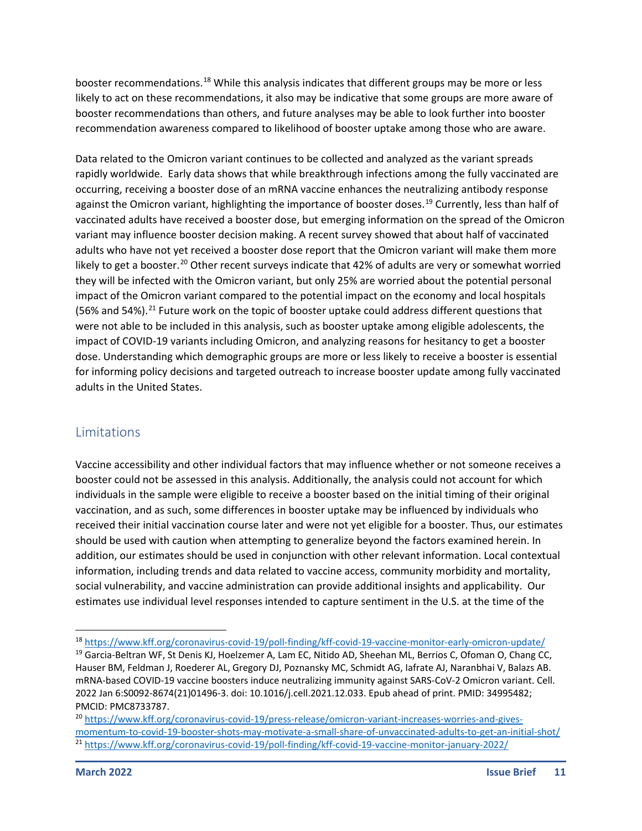booster recommendations.[18](#page-10-0) While this analysis indicates that different groups may be more or less likely to act on these recommendations, it also may be indicative that some groups are more aware of booster recommendations than others, and future analyses may be able to look further into booster recommendation awareness compared to likelihood of booster uptake among those who are aware.

Data related to the Omicron variant continues to be collected and analyzed as the variant spreads rapidly worldwide. Early data shows that while breakthrough infections among the fully vaccinated are occurring, receiving a booster dose of an mRNA vaccine enhances the neutralizing antibody response against the Omicron variant, highlighting the importance of booster doses.<sup>[19](#page-10-1)</sup> Currently, less than half of vaccinated adults have received a booster dose, but emerging information on the spread of the Omicron variant may influence booster decision making. A recent survey showed that about half of vaccinated adults who have not yet received a booster dose report that the Omicron variant will make them more likely to get a booster.<sup>[20](#page-10-2)</sup> Other recent surveys indicate that 42% of adults are very or somewhat worried they will be infected with the Omicron variant, but only 25% are worried about the potential personal impact of the Omicron variant compared to the potential impact on the economy and local hospitals (56% and 54%).<sup>[21](#page-10-3)</sup> Future work on the topic of booster uptake could address different questions that were not able to be included in this analysis, such as booster uptake among eligible adolescents, the impact of COVID-19 variants including Omicron, and analyzing reasons for hesitancy to get a booster dose. Understanding which demographic groups are more or less likely to receive a booster is essential for informing policy decisions and targeted outreach to increase booster update among fully vaccinated adults in the United States.

#### **Limitations**

Vaccine accessibility and other individual factors that may influence whether or not someone receives a booster could not be assessed in this analysis. Additionally, the analysis could not account for which individuals in the sample were eligible to receive a booster based on the initial timing of their original vaccination, and as such, some differences in booster uptake may be influenced by individuals who received their initial vaccination course later and were not yet eligible for a booster. Thus, our estimates should be used with caution when attempting to generalize beyond the factors examined herein. In addition, our estimates should be used in conjunction with other relevant information. Local contextual information, including trends and data related to vaccine access, community morbidity and mortality, social vulnerability, and vaccine administration can provide additional insights and applicability. Our estimates use individual level responses intended to capture sentiment in the U.S. at the time of the

<span id="page-10-0"></span><sup>18</sup> <https://www.kff.org/coronavirus-covid-19/poll-finding/kff-covid-19-vaccine-monitor-early-omicron-update/>

<span id="page-10-1"></span><sup>&</sup>lt;sup>19</sup> Garcia-Beltran WF, St Denis KJ, Hoelzemer A, Lam EC, Nitido AD, Sheehan ML, Berrios C, Ofoman O, Chang CC, Hauser BM, Feldman J, Roederer AL, Gregory DJ, Poznansky MC, Schmidt AG, Iafrate AJ, Naranbhai V, Balazs AB. mRNA-based COVID-19 vaccine boosters induce neutralizing immunity against SARS-CoV-2 Omicron variant. Cell. 2022 Jan 6:S0092-8674(21)01496-3. doi: 10.1016/j.cell.2021.12.033. Epub ahead of print. PMID: 34995482; PMCID: PMC8733787.

<span id="page-10-3"></span><span id="page-10-2"></span><sup>20</sup> [https://www.kff.org/coronavirus-covid-19/press-release/omicron-variant-increases-worries-and-gives](https://www.kff.org/coronavirus-covid-19/press-release/omicron-variant-increases-worries-and-gives-momentum-to-covid-19-booster-shots-may-motivate-a-small-share-of-unvaccinated-adults-to-get-an-initial-shot/)[momentum-to-covid-19-booster-shots-may-motivate-a-small-share-of-unvaccinated-adults-to-get-an-initial-shot/](https://www.kff.org/coronavirus-covid-19/press-release/omicron-variant-increases-worries-and-gives-momentum-to-covid-19-booster-shots-may-motivate-a-small-share-of-unvaccinated-adults-to-get-an-initial-shot/) <sup>21</sup> <https://www.kff.org/coronavirus-covid-19/poll-finding/kff-covid-19-vaccine-monitor-january-2022/>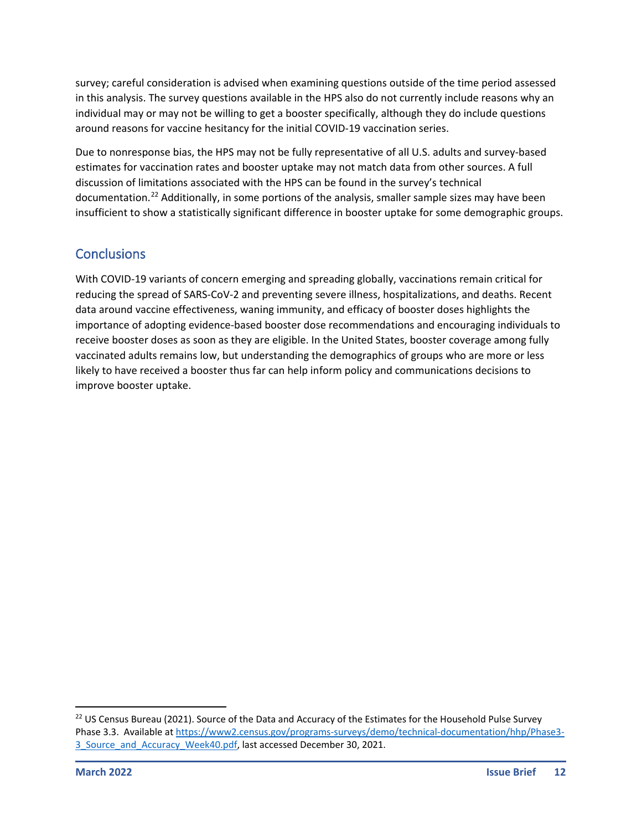survey; careful consideration is advised when examining questions outside of the time period assessed in this analysis. The survey questions available in the HPS also do not currently include reasons why an individual may or may not be willing to get a booster specifically, although they do include questions around reasons for vaccine hesitancy for the initial COVID-19 vaccination series.

Due to nonresponse bias, the HPS may not be fully representative of all U.S. adults and survey-based estimates for vaccination rates and booster uptake may not match data from other sources. A full discussion of limitations associated with the HPS can be found in the survey's technical documentation.<sup>[22](#page-11-0)</sup> Additionally, in some portions of the analysis, smaller sample sizes may have been insufficient to show a statistically significant difference in booster uptake for some demographic groups.

## **Conclusions**

With COVID-19 variants of concern emerging and spreading globally, vaccinations remain critical for reducing the spread of SARS-CoV-2 and preventing severe illness, hospitalizations, and deaths. Recent data around vaccine effectiveness, waning immunity, and efficacy of booster doses highlights the importance of adopting evidence-based booster dose recommendations and encouraging individuals to receive booster doses as soon as they are eligible. In the United States, booster coverage among fully vaccinated adults remains low, but understanding the demographics of groups who are more or less likely to have received a booster thus far can help inform policy and communications decisions to improve booster uptake.

<span id="page-11-0"></span><sup>&</sup>lt;sup>22</sup> US Census Bureau (2021). Source of the Data and Accuracy of the Estimates for the Household Pulse Survey Phase 3.3. Available a[t https://www2.census.gov/programs-surveys/demo/technical-documentation/hhp/Phase3-](https://www2.census.gov/programs-surveys/demo/technical-documentation/hhp/Phase3-3_Source_and_Accuracy_Week40.pdf) 3 Source and Accuracy Week40.pdf, last accessed December 30, 2021.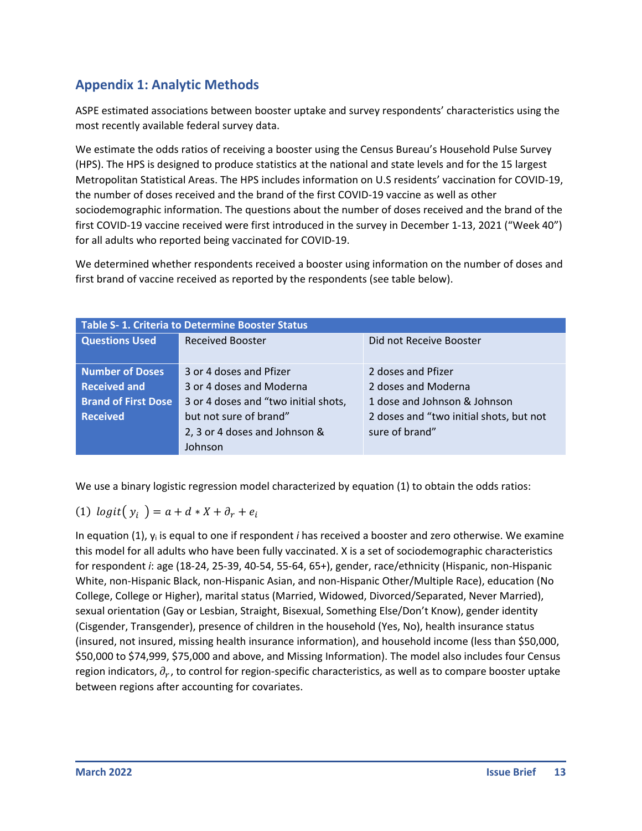## **Appendix 1: Analytic Methods**

ASPE estimated associations between booster uptake and survey respondents' characteristics using the most recently available federal survey data.

We estimate the odds ratios of receiving a booster using the Census Bureau's Household Pulse Survey (HPS). The HPS is designed to produce statistics at the national and state levels and for the 15 largest Metropolitan Statistical Areas. The HPS includes information on U.S residents' vaccination for COVID-19, the number of doses received and the brand of the first COVID-19 vaccine as well as other sociodemographic information. The questions about the number of doses received and the brand of the first COVID-19 vaccine received were first introduced in the survey in December 1-13, 2021 ("Week 40") for all adults who reported being vaccinated for COVID-19.

We determined whether respondents received a booster using information on the number of doses and first brand of vaccine received as reported by the respondents (see table below).

| <b>Table S- 1. Criteria to Determine Booster Status</b> |                                      |                                         |
|---------------------------------------------------------|--------------------------------------|-----------------------------------------|
| <b>Questions Used</b>                                   | <b>Received Booster</b>              | Did not Receive Booster                 |
|                                                         |                                      |                                         |
| <b>Number of Doses</b>                                  | 3 or 4 doses and Pfizer              | 2 doses and Pfizer                      |
| <b>Received and</b>                                     | 3 or 4 doses and Moderna             | 2 doses and Moderna                     |
| <b>Brand of First Dose</b>                              | 3 or 4 doses and "two initial shots, | 1 dose and Johnson & Johnson            |
| <b>Received</b>                                         | but not sure of brand"               | 2 doses and "two initial shots, but not |
|                                                         | 2, 3 or 4 doses and Johnson &        | sure of brand"                          |
|                                                         | Johnson                              |                                         |

We use a binary logistic regression model characterized by equation (1) to obtain the odds ratios:

(1) 
$$
logit(y_i) = a + d * X + \partial_r + e_i
$$

In equation (1), yi is equal to one if respondent *i* has received a booster and zero otherwise. We examine this model for all adults who have been fully vaccinated. X is a set of sociodemographic characteristics for respondent *i*: age (18-24, 25-39, 40-54, 55-64, 65+), gender, race/ethnicity (Hispanic, non-Hispanic White, non-Hispanic Black, non-Hispanic Asian, and non-Hispanic Other/Multiple Race), education (No College, College or Higher), marital status (Married, Widowed, Divorced/Separated, Never Married), sexual orientation (Gay or Lesbian, Straight, Bisexual, Something Else/Don't Know), gender identity (Cisgender, Transgender), presence of children in the household (Yes, No), health insurance status (insured, not insured, missing health insurance information), and household income (less than \$50,000, \$50,000 to \$74,999, \$75,000 and above, and Missing Information). The model also includes four Census region indicators,  $\partial_r$ , to control for region-specific characteristics, as well as to compare booster uptake between regions after accounting for covariates.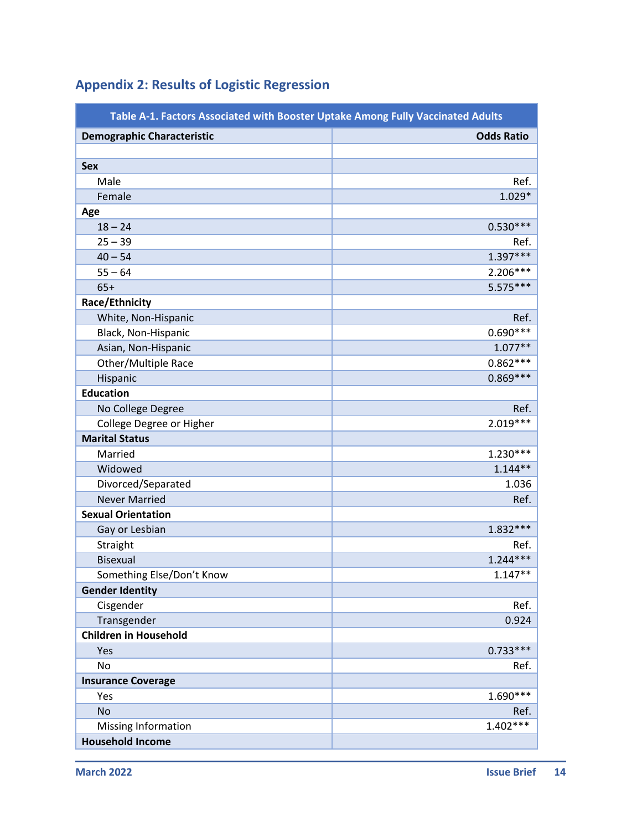| Table A-1. Factors Associated with Booster Uptake Among Fully Vaccinated Adults |                   |
|---------------------------------------------------------------------------------|-------------------|
| <b>Demographic Characteristic</b>                                               | <b>Odds Ratio</b> |
|                                                                                 |                   |
| <b>Sex</b>                                                                      |                   |
| Male                                                                            | Ref.              |
| Female                                                                          | $1.029*$          |
| Age                                                                             |                   |
| $18 - 24$                                                                       | $0.530***$        |
| $25 - 39$                                                                       | Ref.              |
| $40 - 54$                                                                       | 1.397***          |
| $55 - 64$                                                                       | $2.206***$        |
| $65+$                                                                           | $5.575***$        |
| Race/Ethnicity                                                                  |                   |
| White, Non-Hispanic                                                             | Ref.              |
| Black, Non-Hispanic                                                             | $0.690***$        |
| Asian, Non-Hispanic                                                             | $1.077**$         |
| Other/Multiple Race                                                             | $0.862***$        |
| Hispanic                                                                        | $0.869***$        |
| <b>Education</b>                                                                |                   |
| No College Degree                                                               | Ref.              |
| College Degree or Higher                                                        | $2.019***$        |
| <b>Marital Status</b>                                                           |                   |
| Married                                                                         | $1.230***$        |
| Widowed                                                                         | $1.144**$         |
| Divorced/Separated                                                              | 1.036             |
| <b>Never Married</b>                                                            | Ref.              |
| <b>Sexual Orientation</b>                                                       |                   |
| Gay or Lesbian                                                                  | $1.832***$        |
| Straight                                                                        | Ref.              |
| <b>Bisexual</b>                                                                 | $1.244***$        |
| Something Else/Don't Know                                                       | $1.147**$         |
| <b>Gender Identity</b>                                                          |                   |
| Cisgender                                                                       | Ref.              |
| Transgender                                                                     | 0.924             |
| <b>Children in Household</b>                                                    |                   |
| Yes                                                                             | $0.733***$        |
| No                                                                              | Ref.              |
| <b>Insurance Coverage</b>                                                       |                   |
| Yes                                                                             | 1.690***          |
| <b>No</b>                                                                       | Ref.              |
| Missing Information                                                             | $1.402***$        |
| <b>Household Income</b>                                                         |                   |

## **Appendix 2: Results of Logistic Regression**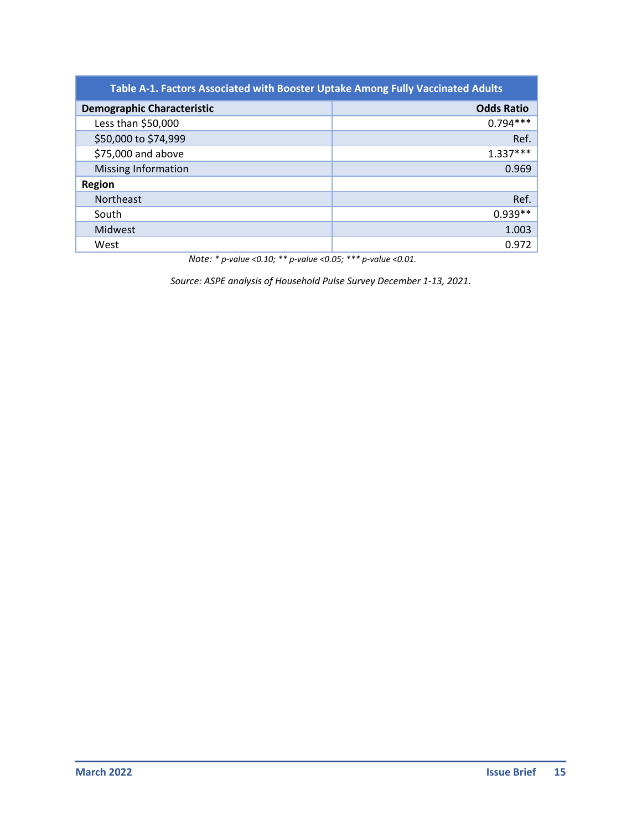| Table A-1. Factors Associated with Booster Uptake Among Fully Vaccinated Adults |                   |  |
|---------------------------------------------------------------------------------|-------------------|--|
| <b>Demographic Characteristic</b>                                               | <b>Odds Ratio</b> |  |
| Less than \$50,000                                                              | $0.794***$        |  |
| \$50,000 to \$74,999                                                            | Ref.              |  |
| \$75,000 and above                                                              | $1.337***$        |  |
| <b>Missing Information</b>                                                      | 0.969             |  |
| <b>Region</b>                                                                   |                   |  |
| Northeast                                                                       | Ref.              |  |
| South                                                                           | $0.939**$         |  |
| Midwest                                                                         | 1.003             |  |
| West                                                                            | 0.972             |  |

*Note: \* p-value <0.10; \*\* p-value <0.05; \*\*\* p-value <0.01.*

*Source: ASPE analysis of Household Pulse Survey December 1-13, 2021.*